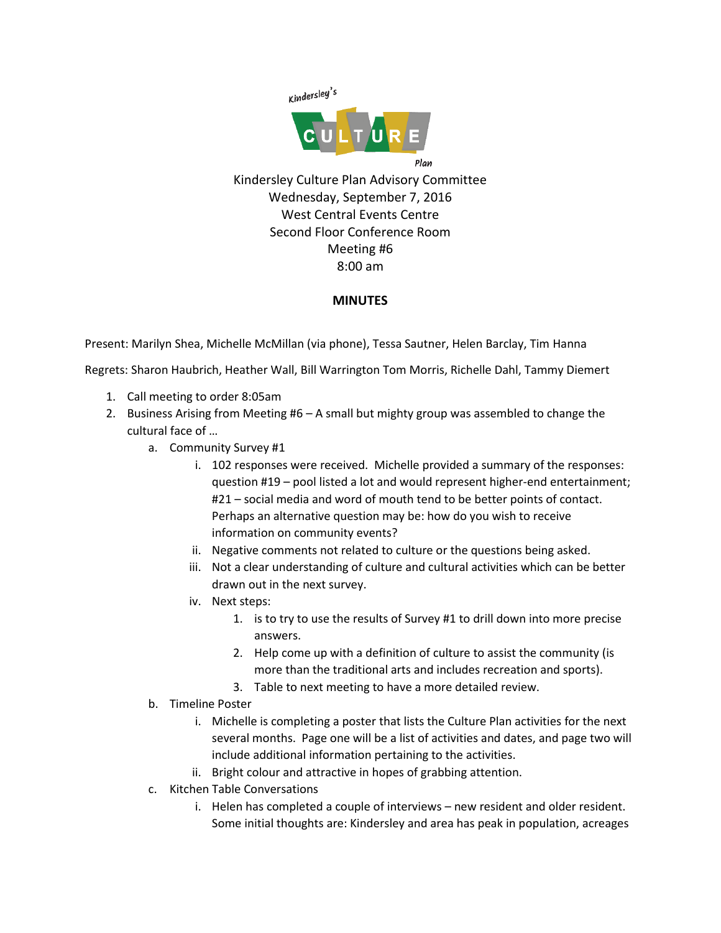

Kindersley Culture Plan Advisory Committee Wednesday, September 7, 2016 West Central Events Centre Second Floor Conference Room Meeting #6 8:00 am

## **MINUTES**

Present: Marilyn Shea, Michelle McMillan (via phone), Tessa Sautner, Helen Barclay, Tim Hanna

Regrets: Sharon Haubrich, Heather Wall, Bill Warrington Tom Morris, Richelle Dahl, Tammy Diemert

- 1. Call meeting to order 8:05am
- 2. Business Arising from Meeting #6 A small but mighty group was assembled to change the cultural face of …
	- a. Community Survey #1
		- i. 102 responses were received. Michelle provided a summary of the responses: question #19 – pool listed a lot and would represent higher-end entertainment; #21 – social media and word of mouth tend to be better points of contact. Perhaps an alternative question may be: how do you wish to receive information on community events?
		- ii. Negative comments not related to culture or the questions being asked.
		- iii. Not a clear understanding of culture and cultural activities which can be better drawn out in the next survey.
		- iv. Next steps:
			- 1. is to try to use the results of Survey #1 to drill down into more precise answers.
			- 2. Help come up with a definition of culture to assist the community (is more than the traditional arts and includes recreation and sports).
			- 3. Table to next meeting to have a more detailed review.
	- b. Timeline Poster
		- i. Michelle is completing a poster that lists the Culture Plan activities for the next several months. Page one will be a list of activities and dates, and page two will include additional information pertaining to the activities.
		- ii. Bright colour and attractive in hopes of grabbing attention.
	- c. Kitchen Table Conversations
		- i. Helen has completed a couple of interviews new resident and older resident. Some initial thoughts are: Kindersley and area has peak in population, acreages